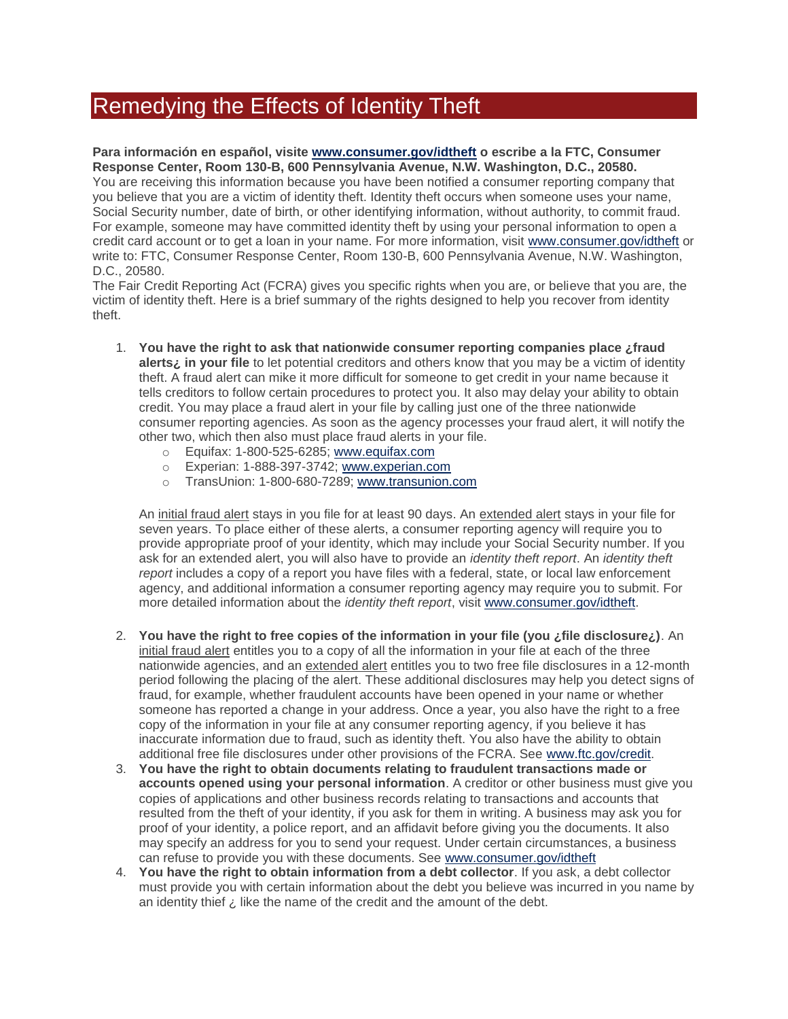## Remedying the Effects of Identity Theft

## **Para información en español, visite [www.consumer.gov/idtheft](http://www.consumer.gov/idtheft) o escribe a la FTC, Consumer Response Center, Room 130-B, 600 Pennsylvania Avenue, N.W. Washington, D.C., 20580.** You are receiving this information because you have been notified a consumer reporting company that you believe that you are a victim of identity theft. Identity theft occurs when someone uses your name, Social Security number, date of birth, or other identifying information, without authority, to commit fraud. For example, someone may have committed identity theft by using your personal information to open a credit card account or to get a loan in your name. For more information, visit [www.consumer.gov/idtheft](http://www.consumer.gov/idtheft) or write to: FTC, Consumer Response Center, Room 130-B, 600 Pennsylvania Avenue, N.W. Washington, D.C., 20580.

The Fair Credit Reporting Act (FCRA) gives you specific rights when you are, or believe that you are, the victim of identity theft. Here is a brief summary of the rights designed to help you recover from identity theft.

- 1. **You have the right to ask that nationwide consumer reporting companies place ¿fraud alerts¿ in your file** to let potential creditors and others know that you may be a victim of identity theft. A fraud alert can mike it more difficult for someone to get credit in your name because it tells creditors to follow certain procedures to protect you. It also may delay your ability to obtain credit. You may place a fraud alert in your file by calling just one of the three nationwide consumer reporting agencies. As soon as the agency processes your fraud alert, it will notify the other two, which then also must place fraud alerts in your file.
	- o Equifax: 1-800-525-6285; [www.equifax.com](http://www.equifax.com/)
	- o Experian: 1-888-397-3742; [www.experian.com](http://www.experian.com/)
	- o TransUnion: 1-800-680-7289; [www.transunion.com](http://www.transunion.com/)

An initial fraud alert stays in you file for at least 90 days. An extended alert stays in your file for seven years. To place either of these alerts, a consumer reporting agency will require you to provide appropriate proof of your identity, which may include your Social Security number. If you ask for an extended alert, you will also have to provide an *identity theft report*. An *identity theft report* includes a copy of a report you have files with a federal, state, or local law enforcement agency, and additional information a consumer reporting agency may require you to submit. For more detailed information about the *identity theft report*, visit [www.consumer.gov/idtheft.](http://www.consumer.gov/idtheft)

- 2. **You have the right to free copies of the information in your file (you ¿file disclosure¿)**. An initial fraud alert entitles you to a copy of all the information in your file at each of the three nationwide agencies, and an extended alert entitles you to two free file disclosures in a 12-month period following the placing of the alert. These additional disclosures may help you detect signs of fraud, for example, whether fraudulent accounts have been opened in your name or whether someone has reported a change in your address. Once a year, you also have the right to a free copy of the information in your file at any consumer reporting agency, if you believe it has inaccurate information due to fraud, such as identity theft. You also have the ability to obtain additional free file disclosures under other provisions of the FCRA. See [www.ftc.gov/credit.](http://www.ftc.gov/credit)
- 3. **You have the right to obtain documents relating to fraudulent transactions made or accounts opened using your personal information**. A creditor or other business must give you copies of applications and other business records relating to transactions and accounts that resulted from the theft of your identity, if you ask for them in writing. A business may ask you for proof of your identity, a police report, and an affidavit before giving you the documents. It also may specify an address for you to send your request. Under certain circumstances, a business can refuse to provide you with these documents. See [www.consumer.gov/idtheft](http://www.consumer.gov/idtheft)
- 4. **You have the right to obtain information from a debt collector**. If you ask, a debt collector must provide you with certain information about the debt you believe was incurred in you name by an identity thief  $\lambda$  like the name of the credit and the amount of the debt.